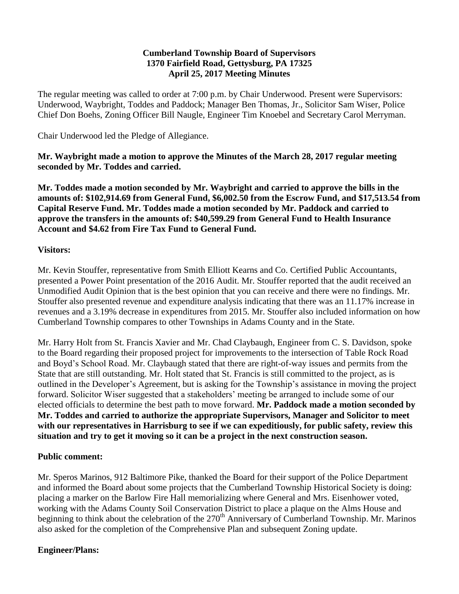#### **Cumberland Township Board of Supervisors 1370 Fairfield Road, Gettysburg, PA 17325 April 25, 2017 Meeting Minutes**

The regular meeting was called to order at 7:00 p.m. by Chair Underwood. Present were Supervisors: Underwood, Waybright, Toddes and Paddock; Manager Ben Thomas, Jr., Solicitor Sam Wiser, Police Chief Don Boehs, Zoning Officer Bill Naugle, Engineer Tim Knoebel and Secretary Carol Merryman.

Chair Underwood led the Pledge of Allegiance.

**Mr. Waybright made a motion to approve the Minutes of the March 28, 2017 regular meeting seconded by Mr. Toddes and carried.**

**Mr. Toddes made a motion seconded by Mr. Waybright and carried to approve the bills in the amounts of: \$102,914.69 from General Fund, \$6,002.50 from the Escrow Fund, and \$17,513.54 from Capital Reserve Fund. Mr. Toddes made a motion seconded by Mr. Paddock and carried to approve the transfers in the amounts of: \$40,599.29 from General Fund to Health Insurance Account and \$4.62 from Fire Tax Fund to General Fund.**

#### **Visitors:**

Mr. Kevin Stouffer, representative from Smith Elliott Kearns and Co. Certified Public Accountants, presented a Power Point presentation of the 2016 Audit. Mr. Stouffer reported that the audit received an Unmodified Audit Opinion that is the best opinion that you can receive and there were no findings. Mr. Stouffer also presented revenue and expenditure analysis indicating that there was an 11.17% increase in revenues and a 3.19% decrease in expenditures from 2015. Mr. Stouffer also included information on how Cumberland Township compares to other Townships in Adams County and in the State.

Mr. Harry Holt from St. Francis Xavier and Mr. Chad Claybaugh, Engineer from C. S. Davidson, spoke to the Board regarding their proposed project for improvements to the intersection of Table Rock Road and Boyd's School Road. Mr. Claybaugh stated that there are right-of-way issues and permits from the State that are still outstanding. Mr. Holt stated that St. Francis is still committed to the project, as is outlined in the Developer's Agreement, but is asking for the Township's assistance in moving the project forward. Solicitor Wiser suggested that a stakeholders' meeting be arranged to include some of our elected officials to determine the best path to move forward. **Mr. Paddock made a motion seconded by Mr. Toddes and carried to authorize the appropriate Supervisors, Manager and Solicitor to meet with our representatives in Harrisburg to see if we can expeditiously, for public safety, review this situation and try to get it moving so it can be a project in the next construction season.** 

#### **Public comment:**

Mr. Speros Marinos, 912 Baltimore Pike, thanked the Board for their support of the Police Department and informed the Board about some projects that the Cumberland Township Historical Society is doing: placing a marker on the Barlow Fire Hall memorializing where General and Mrs. Eisenhower voted, working with the Adams County Soil Conservation District to place a plaque on the Alms House and beginning to think about the celebration of the 270<sup>th</sup> Anniversary of Cumberland Township. Mr. Marinos also asked for the completion of the Comprehensive Plan and subsequent Zoning update.

# **Engineer/Plans:**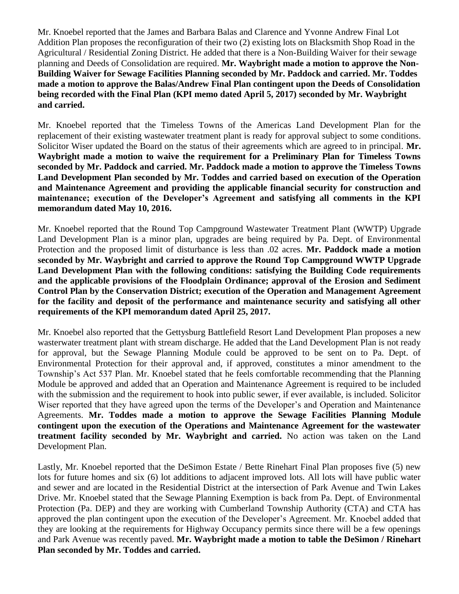Mr. Knoebel reported that the James and Barbara Balas and Clarence and Yvonne Andrew Final Lot Addition Plan proposes the reconfiguration of their two (2) existing lots on Blacksmith Shop Road in the Agricultural / Residential Zoning District. He added that there is a Non-Building Waiver for their sewage planning and Deeds of Consolidation are required. **Mr. Waybright made a motion to approve the Non-Building Waiver for Sewage Facilities Planning seconded by Mr. Paddock and carried. Mr. Toddes made a motion to approve the Balas/Andrew Final Plan contingent upon the Deeds of Consolidation being recorded with the Final Plan (KPI memo dated April 5, 2017) seconded by Mr. Waybright and carried.**

Mr. Knoebel reported that the Timeless Towns of the Americas Land Development Plan for the replacement of their existing wastewater treatment plant is ready for approval subject to some conditions. Solicitor Wiser updated the Board on the status of their agreements which are agreed to in principal. **Mr. Waybright made a motion to waive the requirement for a Preliminary Plan for Timeless Towns seconded by Mr. Paddock and carried. Mr. Paddock made a motion to approve the Timeless Towns Land Development Plan seconded by Mr. Toddes and carried based on execution of the Operation and Maintenance Agreement and providing the applicable financial security for construction and maintenance; execution of the Developer's Agreement and satisfying all comments in the KPI memorandum dated May 10, 2016.**

Mr. Knoebel reported that the Round Top Campground Wastewater Treatment Plant (WWTP) Upgrade Land Development Plan is a minor plan, upgrades are being required by Pa. Dept. of Environmental Protection and the proposed limit of disturbance is less than .02 acres. **Mr. Paddock made a motion seconded by Mr. Waybright and carried to approve the Round Top Campground WWTP Upgrade Land Development Plan with the following conditions: satisfying the Building Code requirements and the applicable provisions of the Floodplain Ordinance; approval of the Erosion and Sediment Control Plan by the Conservation District; execution of the Operation and Management Agreement for the facility and deposit of the performance and maintenance security and satisfying all other requirements of the KPI memorandum dated April 25, 2017.**

Mr. Knoebel also reported that the Gettysburg Battlefield Resort Land Development Plan proposes a new wasterwater treatment plant with stream discharge. He added that the Land Development Plan is not ready for approval, but the Sewage Planning Module could be approved to be sent on to Pa. Dept. of Environmental Protection for their approval and, if approved, constitutes a minor amendment to the Township's Act 537 Plan. Mr. Knoebel stated that he feels comfortable recommending that the Planning Module be approved and added that an Operation and Maintenance Agreement is required to be included with the submission and the requirement to hook into public sewer, if ever available, is included. Solicitor Wiser reported that they have agreed upon the terms of the Developer's and Operation and Maintenance Agreements. **Mr. Toddes made a motion to approve the Sewage Facilities Planning Module contingent upon the execution of the Operations and Maintenance Agreement for the wastewater treatment facility seconded by Mr. Waybright and carried.** No action was taken on the Land Development Plan.

Lastly, Mr. Knoebel reported that the DeSimon Estate / Bette Rinehart Final Plan proposes five (5) new lots for future homes and six (6) lot additions to adjacent improved lots. All lots will have public water and sewer and are located in the Residential District at the intersection of Park Avenue and Twin Lakes Drive. Mr. Knoebel stated that the Sewage Planning Exemption is back from Pa. Dept. of Environmental Protection (Pa. DEP) and they are working with Cumberland Township Authority (CTA) and CTA has approved the plan contingent upon the execution of the Developer's Agreement. Mr. Knoebel added that they are looking at the requirements for Highway Occupancy permits since there will be a few openings and Park Avenue was recently paved. **Mr. Waybright made a motion to table the DeSimon / Rinehart Plan seconded by Mr. Toddes and carried.**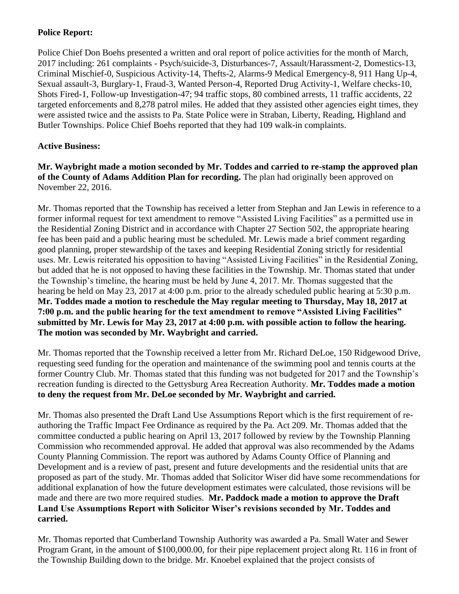# **Police Report:**

Police Chief Don Boehs presented a written and oral report of police activities for the month of March, 2017 including: 261 complaints - Psych/suicide-3, Disturbances-7, Assault/Harassment-2, Domestics-13, Criminal Mischief-0, Suspicious Activity-14, Thefts-2, Alarms-9 Medical Emergency-8, 911 Hang Up-4, Sexual assault-3, Burglary-1, Fraud-3, Wanted Person-4, Reported Drug Activity-1, Welfare checks-10, Shots Fired-1, Follow-up Investigation-47; 94 traffic stops, 80 combined arrests, 11 traffic accidents, 22 targeted enforcements and 8,278 patrol miles. He added that they assisted other agencies eight times, they were assisted twice and the assists to Pa. State Police were in Straban, Liberty, Reading, Highland and Butler Townships. Police Chief Boehs reported that they had 109 walk-in complaints.

## **Active Business:**

**Mr. Waybright made a motion seconded by Mr. Toddes and carried to re-stamp the approved plan of the County of Adams Addition Plan for recording.** The plan had originally been approved on November 22, 2016.

Mr. Thomas reported that the Township has received a letter from Stephan and Jan Lewis in reference to a former informal request for text amendment to remove "Assisted Living Facilities" as a permitted use in the Residential Zoning District and in accordance with Chapter 27 Section 502, the appropriate hearing fee has been paid and a public hearing must be scheduled. Mr. Lewis made a brief comment regarding good planning, proper stewardship of the taxes and keeping Residential Zoning strictly for residential uses. Mr. Lewis reiterated his opposition to having "Assisted Living Facilities" in the Residential Zoning, but added that he is not opposed to having these facilities in the Township. Mr. Thomas stated that under the Township's timeline, the hearing must be held by June 4, 2017. Mr. Thomas suggested that the hearing be held on May 23, 2017 at 4:00 p.m. prior to the already scheduled public hearing at 5:30 p.m. **Mr. Toddes made a motion to reschedule the May regular meeting to Thursday, May 18, 2017 at 7:00 p.m. and the public hearing for the text amendment to remove "Assisted Living Facilities" submitted by Mr. Lewis for May 23, 2017 at 4:00 p.m. with possible action to follow the hearing. The motion was seconded by Mr. Waybright and carried.**

Mr. Thomas reported that the Township received a letter from Mr. Richard DeLoe, 150 Ridgewood Drive, requesting seed funding for the operation and maintenance of the swimming pool and tennis courts at the former Country Club. Mr. Thomas stated that this funding was not budgeted for 2017 and the Township's recreation funding is directed to the Gettysburg Area Recreation Authority. **Mr. Toddes made a motion to deny the request from Mr. DeLoe seconded by Mr. Waybright and carried.**

Mr. Thomas also presented the Draft Land Use Assumptions Report which is the first requirement of reauthoring the Traffic Impact Fee Ordinance as required by the Pa. Act 209. Mr. Thomas added that the committee conducted a public hearing on April 13, 2017 followed by review by the Township Planning Commission who recommended approval. He added that approval was also recommended by the Adams County Planning Commission. The report was authored by Adams County Office of Planning and Development and is a review of past, present and future developments and the residential units that are proposed as part of the study. Mr. Thomas added that Solicitor Wiser did have some recommendations for additional explanation of how the future development estimates were calculated, those revisions will be made and there are two more required studies. **Mr. Paddock made a motion to approve the Draft Land Use Assumptions Report with Solicitor Wiser's revisions seconded by Mr. Toddes and carried.**

Mr. Thomas reported that Cumberland Township Authority was awarded a Pa. Small Water and Sewer Program Grant, in the amount of \$100,000.00, for their pipe replacement project along Rt. 116 in front of the Township Building down to the bridge. Mr. Knoebel explained that the project consists of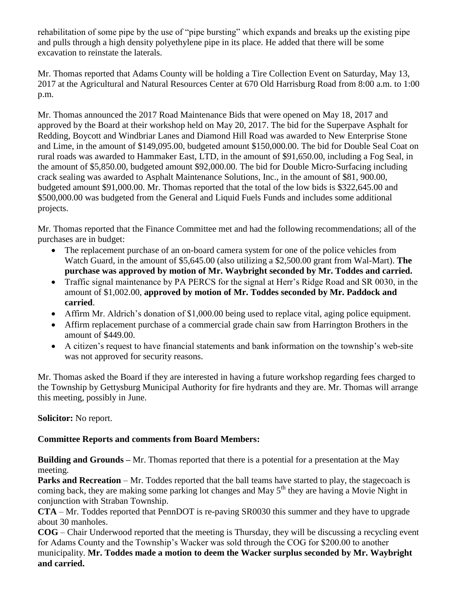rehabilitation of some pipe by the use of "pipe bursting" which expands and breaks up the existing pipe and pulls through a high density polyethylene pipe in its place. He added that there will be some excavation to reinstate the laterals.

Mr. Thomas reported that Adams County will be holding a Tire Collection Event on Saturday, May 13, 2017 at the Agricultural and Natural Resources Center at 670 Old Harrisburg Road from 8:00 a.m. to 1:00 p.m.

Mr. Thomas announced the 2017 Road Maintenance Bids that were opened on May 18, 2017 and approved by the Board at their workshop held on May 20, 2017. The bid for the Superpave Asphalt for Redding, Boycott and Windbriar Lanes and Diamond Hill Road was awarded to New Enterprise Stone and Lime, in the amount of \$149,095.00, budgeted amount \$150,000.00. The bid for Double Seal Coat on rural roads was awarded to Hammaker East, LTD, in the amount of \$91,650.00, including a Fog Seal, in the amount of \$5,850.00, budgeted amount \$92,000.00. The bid for Double Micro-Surfacing including crack sealing was awarded to Asphalt Maintenance Solutions, Inc., in the amount of \$81, 900.00, budgeted amount \$91,000.00. Mr. Thomas reported that the total of the low bids is \$322,645.00 and \$500,000.00 was budgeted from the General and Liquid Fuels Funds and includes some additional projects.

Mr. Thomas reported that the Finance Committee met and had the following recommendations; all of the purchases are in budget:

- The replacement purchase of an on-board camera system for one of the police vehicles from Watch Guard, in the amount of \$5,645.00 (also utilizing a \$2,500.00 grant from Wal-Mart). **The purchase was approved by motion of Mr. Waybright seconded by Mr. Toddes and carried.**
- Traffic signal maintenance by PA PERCS for the signal at Herr's Ridge Road and SR 0030, in the amount of \$1,002.00, **approved by motion of Mr. Toddes seconded by Mr. Paddock and carried**.
- Affirm Mr. Aldrich's donation of \$1,000.00 being used to replace vital, aging police equipment.
- Affirm replacement purchase of a commercial grade chain saw from Harrington Brothers in the amount of \$449.00.
- A citizen's request to have financial statements and bank information on the township's web-site was not approved for security reasons.

Mr. Thomas asked the Board if they are interested in having a future workshop regarding fees charged to the Township by Gettysburg Municipal Authority for fire hydrants and they are. Mr. Thomas will arrange this meeting, possibly in June.

# **Solicitor:** No report.

# **Committee Reports and comments from Board Members:**

**Building and Grounds –** Mr. Thomas reported that there is a potential for a presentation at the May meeting.

**Parks and Recreation** – Mr. Toddes reported that the ball teams have started to play, the stagecoach is coming back, they are making some parking lot changes and May  $5<sup>th</sup>$  they are having a Movie Night in conjunction with Straban Township.

**CTA** – Mr. Toddes reported that PennDOT is re-paving SR0030 this summer and they have to upgrade about 30 manholes.

**COG** – Chair Underwood reported that the meeting is Thursday, they will be discussing a recycling event for Adams County and the Township's Wacker was sold through the COG for \$200.00 to another municipality. **Mr. Toddes made a motion to deem the Wacker surplus seconded by Mr. Waybright and carried.**